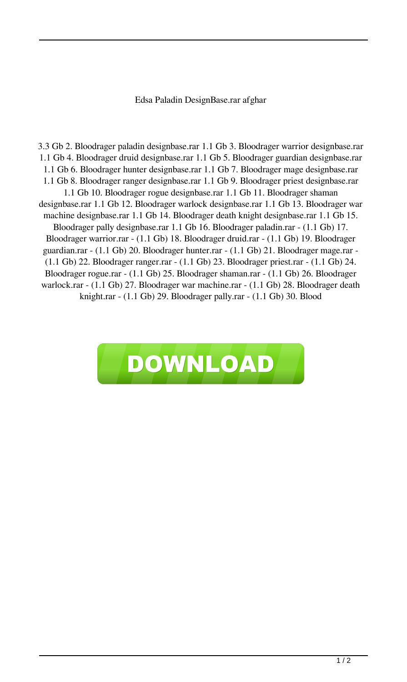## Edsa Paladin DesignBase.rar afghar

3.3 Gb 2. Bloodrager paladin designbase.rar 1.1 Gb 3. Bloodrager warrior designbase.rar 1.1 Gb 4. Bloodrager druid designbase.rar 1.1 Gb 5. Bloodrager guardian designbase.rar 1.1 Gb 6. Bloodrager hunter designbase.rar 1.1 Gb 7. Bloodrager mage designbase.rar 1.1 Gb 8. Bloodrager ranger designbase.rar 1.1 Gb 9. Bloodrager priest designbase.rar 1.1 Gb 10. Bloodrager rogue designbase.rar 1.1 Gb 11. Bloodrager shaman designbase.rar 1.1 Gb 12. Bloodrager warlock designbase.rar 1.1 Gb 13. Bloodrager war machine designbase.rar 1.1 Gb 14. Bloodrager death knight designbase.rar 1.1 Gb 15. Bloodrager pally designbase.rar 1.1 Gb 16. Bloodrager paladin.rar - (1.1 Gb) 17. Bloodrager warrior.rar - (1.1 Gb) 18. Bloodrager druid.rar - (1.1 Gb) 19. Bloodrager guardian.rar - (1.1 Gb) 20. Bloodrager hunter.rar - (1.1 Gb) 21. Bloodrager mage.rar - (1.1 Gb) 22. Bloodrager ranger.rar - (1.1 Gb) 23. Bloodrager priest.rar - (1.1 Gb) 24. Bloodrager rogue.rar - (1.1 Gb) 25. Bloodrager shaman.rar - (1.1 Gb) 26. Bloodrager warlock.rar - (1.1 Gb) 27. Bloodrager war machine.rar - (1.1 Gb) 28. Bloodrager death knight.rar - (1.1 Gb) 29. Bloodrager pally.rar - (1.1 Gb) 30. Blood